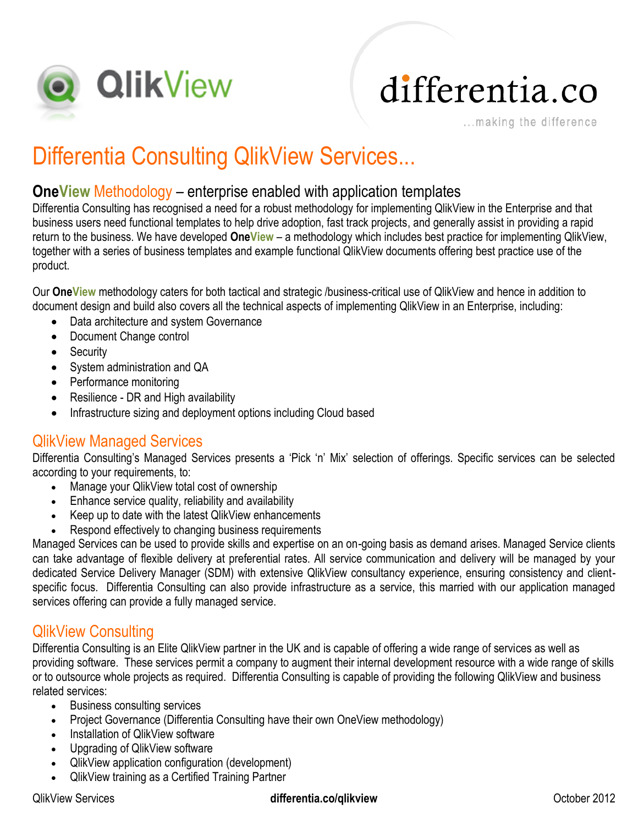

# differentia.co

...making the difference

### Differentia Consulting QlikView Services...

#### **OneView** Methodology – enterprise enabled with application templates

Differentia Consulting has recognised a need for a robust methodology for implementing QlikView in the Enterprise and that business users need functional templates to help drive adoption, fast track projects, and generally assist in providing a rapid return to the business. We have developed **OneView** – a methodology which includes best practice for implementing QlikView, together with a series of business templates and example functional QlikView documents offering best practice use of the product.

Our **OneView** methodology caters for both tactical and strategic /business-critical use of QlikView and hence in addition to document design and build also covers all the technical aspects of implementing QlikView in an Enterprise, including:

- Data architecture and system Governance
- Document Change control
- Security
- System administration and QA
- Performance monitoring
- Resilience DR and High availability
- Infrastructure sizing and deployment options including Cloud based

#### QlikView Managed Services

Differentia Consulting's Managed Services presents a 'Pick 'n' Mix' selection of offerings. Specific services can be selected according to your requirements, to:

- Manage your QlikView total cost of ownership
- Enhance service quality, reliability and availability
- Keep up to date with the latest QlikView enhancements
- Respond effectively to changing business requirements

Managed Services can be used to provide skills and expertise on an on-going basis as demand arises. Managed Service clients can take advantage of flexible delivery at preferential rates. All service communication and delivery will be managed by your dedicated Service Delivery Manager (SDM) with extensive QlikView consultancy experience, ensuring consistency and clientspecific focus. Differentia Consulting can also provide infrastructure as a service, this married with our application managed services offering can provide a fully managed service.

#### QlikView Consulting

Differentia Consulting is an Elite QlikView partner in the UK and is capable of offering a wide range of services as well as providing software. These services permit a company to augment their internal development resource with a wide range of skills or to outsource whole projects as required. Differentia Consulting is capable of providing the following QlikView and business related services:

- Business consulting services
- Project Governance (Differentia Consulting have their own OneView methodology)
- Installation of QlikView software
- Upgrading of QlikView software
- QlikView application configuration (development)
- QlikView training as a Certified Training Partner